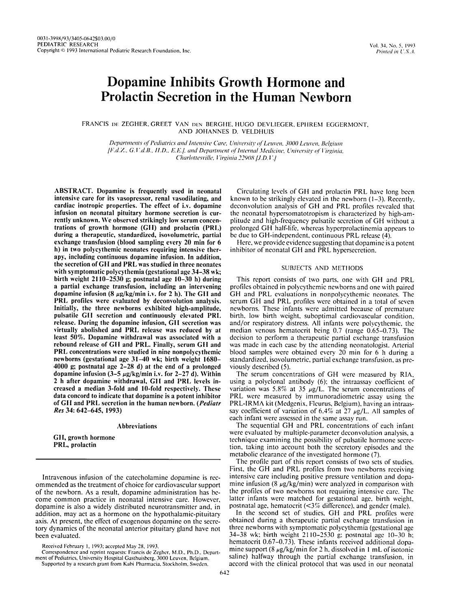# Dopamine Inhibits Growth Hormone and Prolactin Secretion in the Human Newborn

FRANCIS DE ZEGHER, GREET VAN DEN BERGHE, HUGO DEVLIEGER, EPHREM EGGERMONT, AND JOHANNES D. VELDFIUIS

Departments of Pediatrics and Intensive Care, University of Leuven, 3000 Leuven, Belgium [F.d.Z., G.V.d.B., H.D., E.E.J. and Department of Internal Medicine, University of Virginia. Charlottesville, Virginia 22908 [J.D.V.]

ABSTRACT. Dopamine is frequently used in neonatal Circulating levels of GH and prolactin PRL have long been during a therapeutic, standardized, isovolumetric, partial be due to GH-independent, continuous PRL release (4).<br>exchange transfusion (blood sampling every 20 min for 6 Fere, we provide evidence suggesting that dopamine is h) in two polycythemic neonates requiring intensive therapy, including continuous dopamine infusion. In addition, the secretion of GTI and PRL was studied in three neonates SUBJECTS AND METHODS with symptomatic polycythemia (gestational age 34–38 wk; birth weight 2110–2530 g; postnatal age 10–30 h) during This report consists of two parts, one with GH and PRL<br>a partial exchange transfusion, including an intervening profiles obtained in polycythemic newborns and one wit 4000 g; postnatal age 2–28 d) at the end of a prolonged viously described (5).<br>dopamine infusion (3–5  $\mu$ g/kg/min i.v. for 2–27 d). Within The serum concentrations of GH were measured by RIA. dopamine infusion ( $3-5 \mu g/kg/min$  i.v. for 2-27 d). Within 2 h after dopamine withdrawal, GH and PRL levels in-

ommended as the treatment of choice for cardiovascular support mine infusion (8  $\mu$ g/kg/min) were analyzed in comparison with of the newborn. As a result, dopamine administration has be-<br>the profiles of two newborns not of the newborn. As a result, dopamine administration has be-<br>come common practice in neonatal intensive care. However, latter infants were matched for gestational age, birth weight, come common practice in neonatal intensive care. However, latter infants were matched for gestational age, birth weight<br>dopamine is also a widely distributed neurotransmitter and, in postnatal age, hematocrit (<3% differen dopamine is also a widely distributed neurotransmitter and, in postnatal age, hematocrit ( $\leq 3\%$  difference), and gender (male).<br>addition, may act as a hormone on the hypothalamic-pituitary In the second set of studies addition, may act as a hormone on the hypothalamic-pituitary In the second set of studies, GH and PRL profiles were<br>axis. At present, the effect of exogenous dopamine on the secre-<br>obtained during a therapeutic partial exc axis. At present, the effect of exogenous dopamine on the secre- tory dynamics of the neonatal anterior pituitary gland have not

ment of Pediatrics, University Hospital Gasthuisberg, 3000 Leuven, Belgium. Supported by a research grant from Kabi Pharmacia, Stockholm, Sweden.

intensive care for its vasopressor, renal vasodilating, and known to be strikingly elevated in the newborn (1–3). Recently, cardiac inotropic properties. The effect of i.v. dopamine deconvolution analysis of GH and PRL pro cardiac inotropic properties. The effect of i.v. dopamine deconvolution analysis of GH and PRL profiles revealed that infusion on neonatal pituitary hormone secretion is cur-<br>infusion on neonatal pituitary hormone secretio infusion on neonatal pituitary hormone secretion is cur- the neonatal hypersomatotropism is characterized by high-am-<br>rently unknown. We observed strikingly low serum concen- plitude and high-frequency pulsatile secretion rently unknown. We observed strikingly low serum concen- plitude and high-frequency pulsatile secretion of GH without a<br>trations of growth hormone (GH) and prolactin (PRL) prolonged GH half-life, whereas hyperprolactinemia trations of growth hormone (GH) and prolactin (PRL) prolonged GH half-life, whereas hyperprolactinemia appears to during a therapeutic, standardized, isovolumetric, partial be due to GH-independent, continuous PRL release

Here, we provide evidence suggesting that dopamine is a potent inhibitor of neonatal GH and PRL hypersecretion.

a partial exchange transfusion, including an intervening profiles obtained in polycythemic newborns and one with paired dopamine infusion  $(8 \mu g / kg/min)$  i.v. for 2 h). The GH and GH and PRL evaluations in nonpolycythemic neo dopamine infusion (8 µg/kg/min i.v. for 2 h). The GH and GH and PRL evaluations in nonpolycythemic neonates. The<br>PRL profiles were evaluated by deconvolution analysis. serum GH and PRL profiles were obtained in a total of PRL profiles were evaluated by deconvolution analysis. serum GH and PRL profiles were obtained in a total of seven<br>Initially, the three newborns exhibited high-amplitude, newborns. These infants were admitted because of pr Initially, the three newborns exhibited high-amplitude, newborns. These infants were admitted because of premature pulsatile GH secretion and continuously elevated PRL birth, low birth weight, suboptimal cardiovascular con pulsatile GH secretion and continuously elevated PRL birth, low birth weight, suboptimal cardiovascular condition, release. During the dopamine infusion, GH secretion was and/or respiratory distress. All infants were polyc release. During the dopamine infusion, GH secretion was and/or respiratory distress. All infants were polycythemic, the virtually abolished and PRL release was reduced by at median venous hematocrit being 0.7 (range 0.65–0 virtually abolished and PRL release was reduced by at median venous hematocrit being 0.7 (range 0.65–0.73). The<br>least 50%. Dopamine withdrawal was associated with a decision to perform a therapeutic partial exchange transf least 50%. Dopamine withdrawal was associated with a decision to perform a therapeutic partial exchange transfusion rebound release of GH and PRL. Finally, serum GH and was made in each case by the attending neonatologist. rebound release of GH and PRL. Finally, serum GH and was made in each case by the attending neonatologist. Arterial<br>PRL concentrations were studied in nine nonpolycythemic blood samples were obtained every 20 min for 6 h d PRL concentrations were studied in nine nonpolycythemic blood samples were obtained every 20 min for 6 h during a newborns (gestational age 31–40 wk; birth weight 1680– standardized, isovolumetric, partial exchange transfu standardized, isovolumetric, partial exchange transfusion, as pre-

2 h after dopamine withdrawal, GH and PRL levels in-<br>creased a median 3-fold and 10-fold respectively. These variation was 5.8% at 35  $\mu$ g/L. The serum concentrations of creased a median 3-fold and 10-fold respectively. These variation was 5.8% at 35  $\mu$ g/L. The serum concentrations of data concord to indicate that dopamine is a potent inhibitor PRL were measured by immunoradiometric ass data concord to indicate that dopamine is a potent inhibitor PRL were measured by immunoradiometric assay using the of GH and PRL secretion in the human newborn. (*Pediatr* PRL-IRMA kit (Medgenix, Fleurus, Belgium), having of GI1 and PRI. secretion in the human newborn. *(Pediatr* PRL-IRMA kit (Medgcnix. Flcurus, Belgium). having an intraassav coefficient of variation of  $6.4\%$  at  $27 \mu g/L$ . All samples of each infant were assessed in the same assay run.

Abbreviations The sequential GH and PRL concentrations of each infant<br>were evaluated by multiple-parameter deconvolution analysis, a Were evaluated by multiple-parameter deconvolution analysis, a GI I, growth hormone secre-<br>
PRL, prolactin<br>
PRL, prolactin<br>
PRL, prolactin tion, taking into account both the secretory episodes and the metabolic clearance of the investigated hormone (7).

The profile part of this report consists of two sets of studies. First. the GH and PRL profiles from two newborns receiving Intravenous infusion of the catecholamine dopamine is rec- intensive care including positive pressure ventilation and dopa-

three newborns with symptomatic polycythemia (gestational age been evaluated. 34-38 wk: birth weight 21 10-2530 g: postnatal age 10-30 h: hcmatocrit 0.67-0.73). These infants received additional dopa- Received Fehruary 1. 1993: accepted hlay **28.** 1993. Correspondence and reprint requests: Francis de Zegher, M.D., Ph.D., Depart-<br>Int of Pediatrics, University Hospital Gasthuisberg, 3000 Leuven, Belgium saline) halfway through the partial exchange transfusion, in accord with the clinical protocol that was used in our neonatal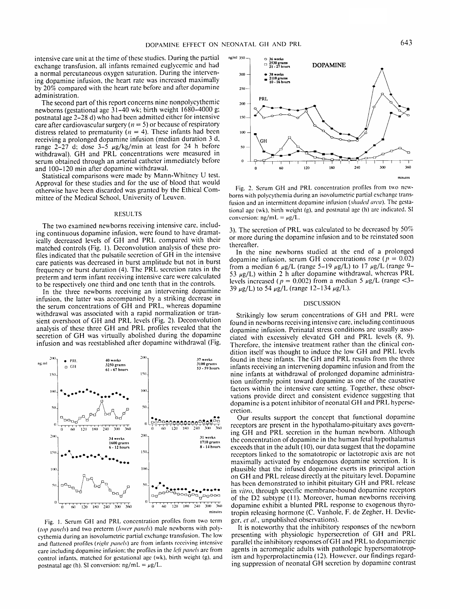intensive care unit at the time of these studies. During the partial exchange transfusion, all infants remained euglyccmic and had a normal percutaneous oxygen saturation. During the intervening dopamine infusion, the heart ratc was increased maximally  $by$  20% compared with the heart rate before and after dopamine administration.

The second part of this report concerns nine nonpolycythemic newborns (gestational age 3 1-40 wk: birth weight 1680-4000 g: postnatal age 2-28 d) who had bccn admitted either for intensive care after cardiovascular surgery ( $n = 5$ ) or because of respiratory distress related to prematurity ( $n = 4$ ). These infants had been receiving a prolonged dopamine infusion (median duration 3 d, range  $2-27$  d; dose  $3-5$   $\mu$ g/kg/min at least for 24 h before withdrawal). GH and PRL concentrations were measured in serum obtained through an arterial catheter immediately beforc and 100-120 min after dopamine withdrawal.

Statistical comparisons were made by Mann-Whitney U test. Approval for these studies and for the use of blood that would otherwise have bcen discarded was granted by the Ethical Committee of the Medical School, University of Leuven.

### RESULTS

The two examined newborns receiving intensive care, including continuous dopamine infusion, were found to have dramatically decreased levels of GH and PRL compared with their matched controls (Fig. I). Deconvolution analysis of these profiles indicated that the pulsatile sccretion of GH in the intensivc care patients was decreased in burst amplitude but not in burst frequency or burst duration (4). The PRL secrction rates in the preterm and term infant receiving intensive care were calculated to be respectively one third and one tenth that in the controls.

In the three newborns receiving an intervening dopamine infusion, the latter was accompanied by a striking decrease in the serum concentrations of GH and PRL, whereas dopamine withdrawal was associated with a rapid normalization or transient overshoot of GH and PRL levels (Fig. 2). Deconvolution analysis of these three GH and PRL profiles revealed that the secretion of GH was virtually abolished during the dopamine infusion and was rcestablishcd after dopaminc withdrawal (Fig.



Fig. 1. Serum **GII** and PRL concentration profiles from two term (top panels) and two preterm (lower panels) male newborns with polycythemia during an isovolumctric partial exchange transfusion. The low and flattened profiles (right panels) are from infants receiving intensive care including dopamine infusion; the profiles in the *left panels* are from control infants. matched for gestational age (wk). birth weight (g), and postnatal age (h). SI conversion:  $ng/mL = \mu g/L$ .



Fig. 2. Serum GH and PRL concentration profiles from two newborns with polycythemia during an isovolumetric partial exchange transfusion and an intermittent dopamine infusion (shaded area). The gestational age **(wk).** birth weight (g). and postnatal age (h) are indicated. SI conversion:  $ng/mL = \mu g/L$ .

3). The secrction of PRL was calculated to be decreased by 50% or more during the dopamine infusion and to be reinstated soon thereafter.

In the nine newborns studied at the end of a prolonged dopamine infusion, serum GH concentrations rose  $(p = 0.02)$ from a median 6  $\mu$ g/L (range 5–19  $\mu$ g/L) to 17  $\mu$ g/L (range 9– 53  $\mu$ g/L) within 2 h after dopamine withdrawal, whereas PRL levels increased ( $p = 0.002$ ) from a median 5  $\mu$ g/L (range <3-39  $\mu$ g/L) to 54  $\mu$ g/L (range 12–134  $\mu$ g/L).

### DISCUSSION

Strikingly low serum concentrations of GH and PRL were found in newborns receiving intensive care, including continuous dopamine infusion. Perinatal stress conditions are usually associated with excessively elevated GH and PRL levels (8, 9). Thcreforc, the intensive treatment rather than the clinical condition itself was thought to induce the low GH and PRL lcvels found in thcse infants. The GH and PRL results from the three infants rcceiving an intervening dopamine infusion and from the nine infants at withdrawal of prolonged dopamine administration uniformly point toward dopamine as one of the causative factors within the intensive care setting. Together, these observations provide direct and consistent evidence suggesting that dopaminc is a potent inhibitor of neonatal GH and PRL hypcrsccretion.

Our results support the concept that functional dopaminc receptors are present in the hypothalamo-pituitary axes governing GH and PRL sccretion in the human newborn. Although the concentration of dopamine in the human fetal hypothalamus exceeds that in the adult (10), our data suggest that the dopamine receptors linked to the somatotropic or lactotropic axis are not maximally activated by endogenous dopamine secrction. It is plausible that the infused dopamine exerts its principal action on GH and PRL release directly at the pituitary level. Dopamine has bccn demonstrated to inhibit pituitary GH and PRL release in *virro,* through specific membrane-bound dopaminc receptors of the D2 subtype (I I). Moreover, human newborns receiving dopamine exhibit a blunted PRL response to exogenous thyrotropin releasing hormone (C. Vanhole, F. dc Zegher, H. Devlieger, et al., unpublished observations).

It is noteworthy that the inhibitory responses of the newborn presenting with physiologic hypcrsecretion of GH and PRL parallel the inhibitory responses ofGH and PRL to dopaminergic agents in acromegalic adults with pathologic hypersomatotropism and hyperprolactinemia (12). However, our findings regarding suppression of neonatal GH secrction by dopaminc contrast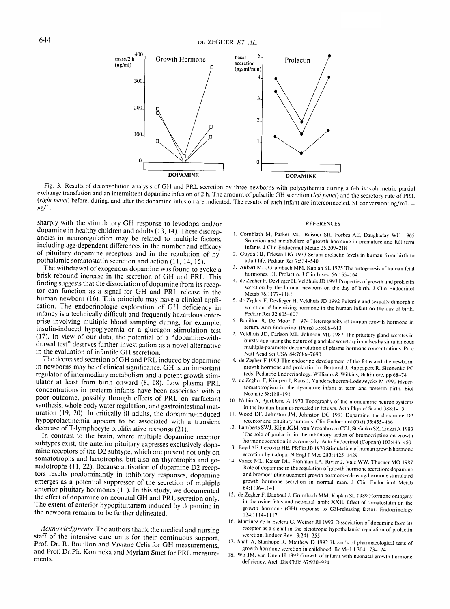

Fig. 3. Results of dcconvolution analysis of GF1 and PRL secretion by three newborns with polycythemia during a 6-h isovolumctric partial exchange transfusion and an intermittent dopamine infusion of 2 h. The amount of pulsatile GH secretion (left panel) and the secretory rate of PRL *(right panel)* before, during, and after the dopamine infusion are indicated. The results of each infant are interconnected. SI conversion: ng/mL =  $\mu$ g/L.

sharply with the stimulatory GH response to levodopa and/or dopamine in healthy children and adults (13, 14). These discrepancies in neuroregulation may be related to multiple factors. including age-dependent differences in the number and efficacy of pituitary dopamine receptors and in the regulation of hypothalamic somatostatin secretion and action (11, 14, 15).

The withdrawal of exogenous dopamine was found to evoke a brisk rebound increase in the secretion of GH and PRL. This finding suggests that the dissociation of dopamine from its receptor can function as a signal for GH and PRL release in the human newborn (16). This principle may have a clinical application. The endocrinologic exploration of GH deficiency in infancy is a technically difficult and frequently hazardous enterprise involving multiple blood sampling during, for example, insulin-induced hypoglycemia or a glucagon stimulation test (17). In view of our data, the potential of a "dopamine-withdrawal test" deserves further investigation as a novel alternative in the evaluation of infantile GH secretion.

The decreased secretion of GH and PRL induced by dopaminc in newborns may be of clinical significance. GH is an important regulator of intermediary metabolism and a potent growth stimulator at least from birth onward (8, 18). Low plasma PRL concentrations in preterm infants have been associated with a poor outcome, possibly through effects of PRL on surfactant synthesis, whole body water regulation, and gastrointestinal maturation (19, 20). In critically ill adults, the dopamine-induced hypoprolactinemia appears to be associated with a transient decrease of T-lymphocyte proliferative response (21).

In contrast to the brain, where multiple dopamine receptor subtypes exist, the anterior pituitary expresses exclusively dopamine receptors of the D2 subtype, which are present not only on somatotrophs and lactotrophs, but also on thyrotrophs and gonadotrophs (11, 22). Because activation of dopamine D2 receptors results predominantly in inhibitory responses, dopamine emerges as a potential suppressor of the secretion of multiple anterior pituitary hormones (11). In this study, we documented the effect of dopamine on neonatal GH and PRL secretion only. The extent of anterior hypopituitarism induced by dopamine in the newborn remains to be further delineated.

staff of the intensive care units for their continuous support,<br>Prof. Dr. R. Bouillon and Viviane Celis for GH measurements,<br>and Beaf Dr. Bb. Konjacky and Musical Celis Co. DDJ. Shah A, Stanhope R, Matthew D 1992 Hazards o and Prof. Dr.Ph. Koninckx and Myriam Smet for PRL measure-<br>ments.

#### **REFERENCES**

- 1. Cornblath M, Parker ML, Reisner SH, Forbes AE, Daughaday WH 1965 Secretion and metabolism of growth hormone in premature and full term infants. J Clin Endocrinol Metab 25:209-2 18
- 2. Guyda HJ, Friesen HG 1973 Serum prolactin levels in human from birth to adult life. Pediatr Res 7:534-540
- 3. Aubert ML, Grumbach MM. Kaplan SL 1975 The ontogenesis of human fetal hormones. 111. Prolactin. J Clin Invest 56:155-164
- 4. de Zegher F, Devlieger H, Veldhuis JD 1993 Properties of growth and prolactin secretion by the human newborn on the day of birth. J Clin Endocrinol Metab 76:1177-1181
- 5. de Zeghcr F. Devlieger H, Veldhuis JD 1992 Pulsatile and sexually dimorphic secretion of luteinizing hormone in the human infant on the day of birth. Pediatr Res 32:605-607
- 6. Bouillon R. Dc Moor **1'** 1974 Heterogeneity of human growth hormone in serum. Ann Endocrinol (Paris) 35:606-613
- 7. Veldhuis JD, Carlson ML, Johnson ML 1987 The pituitary gland secretes in bursts: appraising the nature of glandular secretory impulses by simultaneous multiple-parameter deconvolution of plasma hormone concentrations. Proc Natl Acad Sci USA 84:7686-7690
- 8. de Zegher F 1993 The endocrine development of the fetus and the newborn: growth hormone and prolactin. In: Bertrand J. Kappaport R. Sizonenko PC (eds) Pediatric Endocrinology. Williams & Wilkins. Baltimore, pp 68-74
- 9. de Zegher F, Kimpen J, Raus J, Vanderschueren-Lodeweyckx M 1990 Hypersomatotropism in the dysmature infant at term and preterm birth. Biol Neonate 58:188-191
- 10. Nobin A, Bjorklund A 1973 Topography of the monoamine neuron systems in the human brain as revealed in fetuses. Acta Physiol Scand 388:1-15
- 11. Wood DF, Johnston JM, Johnston DG 1991 Dopamine, the dopamine D2 receptor and pituitary tumours. Clin Endocrinol (Oxf) 35:455-466
- 12. Lamberts SWJ, Klijn JGM, van Vroonhoven CCJ, Stefanko SZ, Liuzzi A 1983 The role of prolactin in the inhibitory action of bromocriptine on growth hormone secretion in acromegaly. Acta Endocrinol (Copcnh) 103:446-430
- 13. Boyd AE, Lebovitz HE, Pfeffer JB 1970 Stimulation of human growth hormone secretion by L-dopa. N Engl J Med 283:1425-1429
- 14. Vance ML. Kaiser DL. Frohman LA. Rivier J. Vale WW. Thorncr MO 1987 Role of dopamine in the regulation of growth hormone secretion: dopamine and bromocriptine augment growth hormone-releasing-hormone stimulated growth hormone secretion in normal man. J Clin Endocrinol Metab 64:1136-1I4I
- 15. de Zegher F, Daaboul J, Grumbach MM, Kaplan SL 1989 Hormone ontogeny in the ovine fetus and neonatal lamb: XXII. Efict of somatostatin on thc growth hormone (GH) response to GlI-releasing factor. Endocrinology I24:I 114-1 117
- 16. Martinez de la Esclera G, Weiner RI 1992 Dissociation of dopamine from its *Acknowledgments*. The authors thank the medical and nursing receptor as a signal in the pleiotropic hypothalamic regulation of prolactin
	-
	- 18. Wit JM, van Unen H 1992 Growth of infants with neonatal growth hormone deficiency. Arch Dis Child 67:920-924